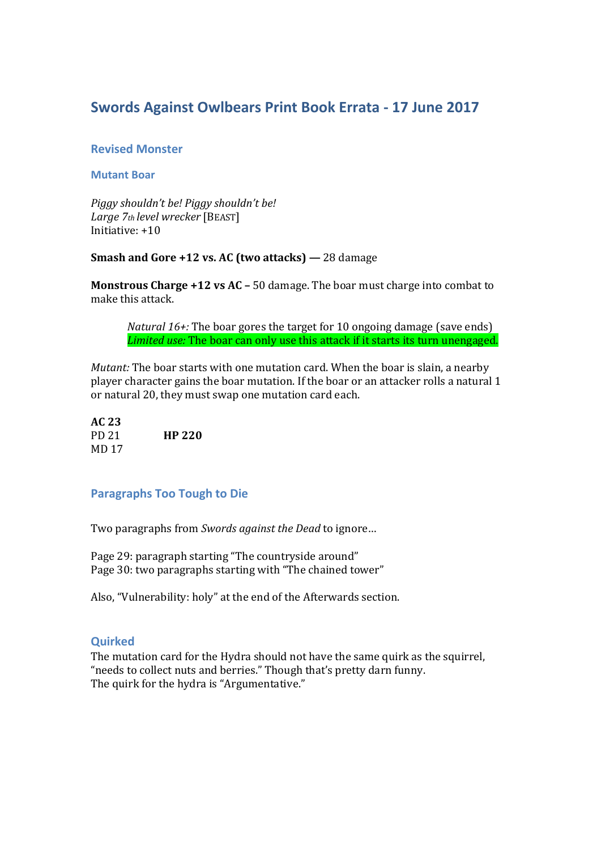# **Swords Against Owlbears Print Book Errata - 17 June 2017**

# **Revised Monster**

### **Mutant Boar**

*Piggy shouldn't be! Piggy shouldn't be! Large 7th level wrecker* [BEAST] Initiative:  $+10$ 

# **Smash and Gore +12 vs. AC (two attacks) —** 28 damage

**Monstrous Charge +12 vs AC – 50 damage. The boar must charge into combat to** make this attack.

*Natural 16+:* The boar gores the target for 10 ongoing damage (save ends) *Limited use:* The boar can only use this attack if it starts its turn unengaged.

*Mutant:* The boar starts with one mutation card. When the boar is slain, a nearby player character gains the boar mutation. If the boar or an attacker rolls a natural 1 or natural 20, they must swap one mutation card each.

| AC 23 |               |
|-------|---------------|
| PD 21 | <b>HP 220</b> |
| MD 17 |               |

# **Paragraphs Too Tough to Die**

Two paragraphs from *Swords against the Dead* to ignore…

Page 29: paragraph starting "The countryside around" Page 30: two paragraphs starting with "The chained tower"

Also, "Vulnerability: holy" at the end of the Afterwards section.

# **Quirked**

The mutation card for the Hydra should not have the same quirk as the squirrel, "needs to collect nuts and berries." Though that's pretty darn funny. The quirk for the hydra is "Argumentative."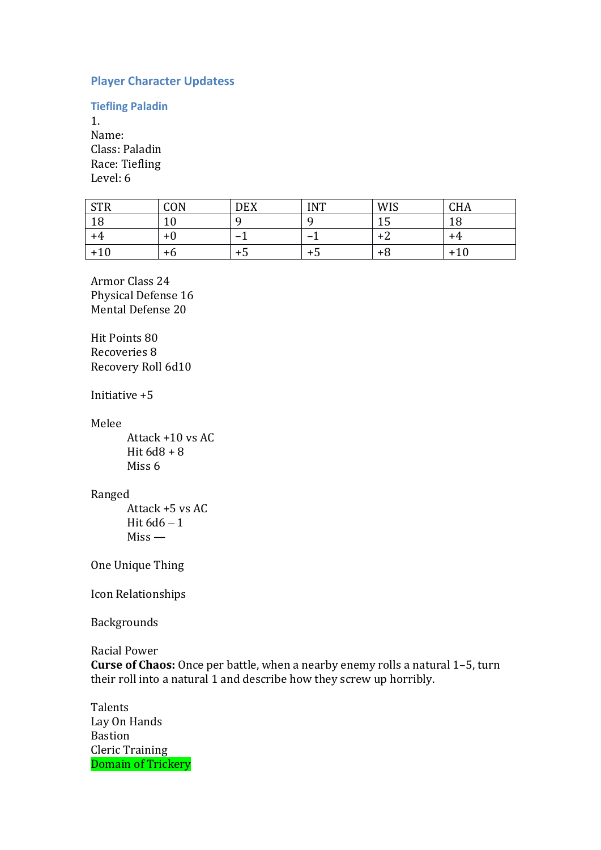# **Player Character Updatess**

**Tiefling Paladin**

1. Name: Class: Paladin Race: Tiefling Level: 6

| CTD<br>51K           | CON | <b>DEX</b> | <b>INT</b> | <b>WIS</b> | <b>CHA</b> |
|----------------------|-----|------------|------------|------------|------------|
| 1 <sup>C</sup><br>10 | ιv  | ⊾          | Ω          | ⊥∪         | 1 O<br>10  |
| +4                   | +0  |            |            |            | +4         |
| $+10$                | +6  | ל +        | +ე         | ⊤ი         | $+10$      |

Armor Class 24 Physical Defense 16 Mental Defense 20

Hit Points 80 Recoveries 8 Recovery Roll 6d10

Initiative +5

Melee

Attack +10 vs AC Hit  $6d8 + 8$ Miss 6

#### Ranged

Attack +5 vs AC Hit  $6d6 - 1$ Miss —

One Unique Thing

Icon Relationships

Backgrounds

Racial Power

**Curse of Chaos:** Once per battle, when a nearby enemy rolls a natural 1–5, turn their roll into a natural 1 and describe how they screw up horribly.

**Talents** Lay On Hands Bastion Cleric Training Domain of Trickery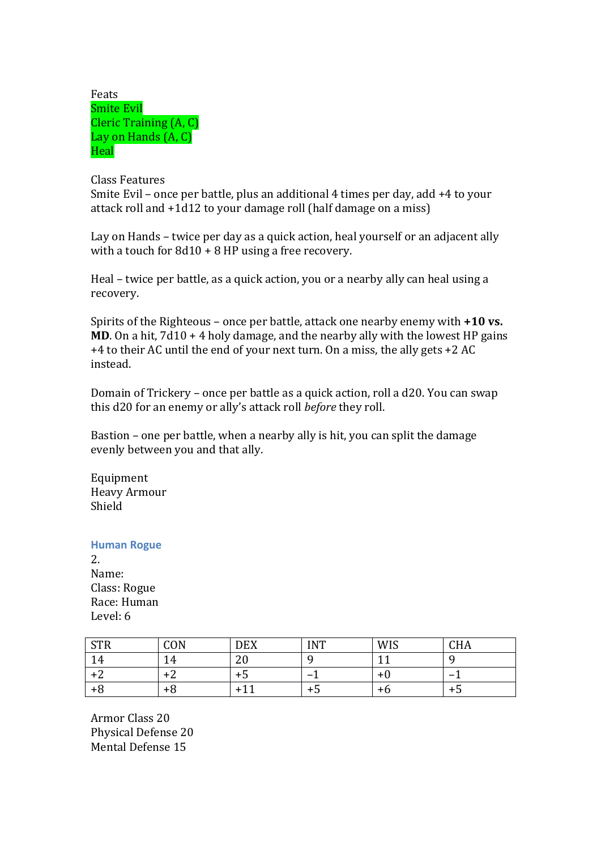| Feats                  |
|------------------------|
| <b>Smite Evil</b>      |
| Cleric Training (A, C) |
| Lay on Hands (A, C)    |
| Heal                   |

Class Features Smite Evil – once per battle, plus an additional 4 times per day, add +4 to your attack roll and +1d12 to your damage roll (half damage on a miss)

Lay on Hands – twice per day as a quick action, heal yourself or an adjacent ally with a touch for 8d10 + 8 HP using a free recovery.

Heal – twice per battle, as a quick action, you or a nearby ally can heal using a recovery.

Spirits of the Righteous – once per battle, attack one nearby enemy with **+10 vs. MD**. On a hit, 7d10 + 4 holy damage, and the nearby ally with the lowest HP gains +4 to their AC until the end of your next turn. On a miss, the ally gets +2 AC instead.

Domain of Trickery – once per battle as a quick action, roll a d20. You can swap this d20 for an enemy or ally's attack roll *before* they roll.

Bastion – one per battle, when a nearby ally is hit, you can split the damage evenly between you and that ally.

Equipment Heavy Armour Shield

#### **Human Rogue**

2. Name: Class: Rogue Race: Human Level: 6

| C <sub>TD</sub><br>UIIV | CON | <b>DEX</b> | <b>INT</b> | WIS | $\mathsf{\Gamma\mathrm{H}}$ (<br><b>CHA</b> |
|-------------------------|-----|------------|------------|-----|---------------------------------------------|
| 14                      | 4ء  | n c<br>∠∪  |            |     |                                             |
|                         | +∠  | +ე         |            |     |                                             |
| +o                      | +ზ  | ∸          | T.)        | тιχ | כד                                          |

Armor Class 20 Physical Defense 20 Mental Defense 15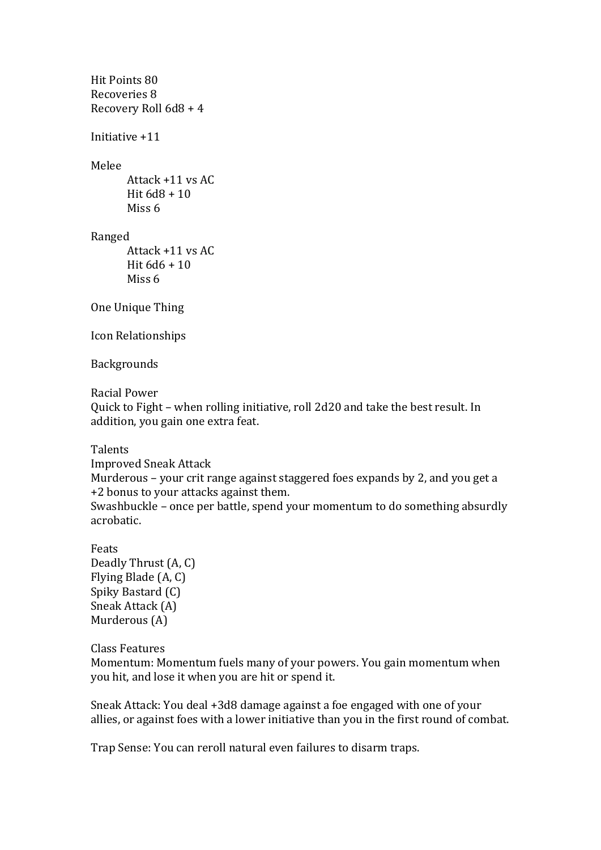```
Hit Points 80
Recoveries 8
Recovery Roll 6d8 + 4
```
Initiative +11

Melee

Attack +11 vs AC Hit 6d8 + 10 Miss 6

Ranged

Attack +11 vs AC Hit 6d6 + 10 Miss 6

One Unique Thing

Icon Relationships

Backgrounds

Racial Power

Quick to Fight – when rolling initiative, roll 2d20 and take the best result. In addition, you gain one extra feat.

Talents

Improved Sneak Attack Murderous – your crit range against staggered foes expands by 2, and you get a +2 bonus to your attacks against them. Swashbuckle – once per battle, spend your momentum to do something absurdly acrobatic.

Feats Deadly Thrust (A, C) Flying Blade (A, C) Spiky Bastard (C) Sneak Attack (A) Murderous (A)

# Class Features

Momentum: Momentum fuels many of your powers. You gain momentum when you hit, and lose it when you are hit or spend it.

Sneak Attack: You deal +3d8 damage against a foe engaged with one of your allies, or against foes with a lower initiative than you in the first round of combat.

Trap Sense: You can reroll natural even failures to disarm traps.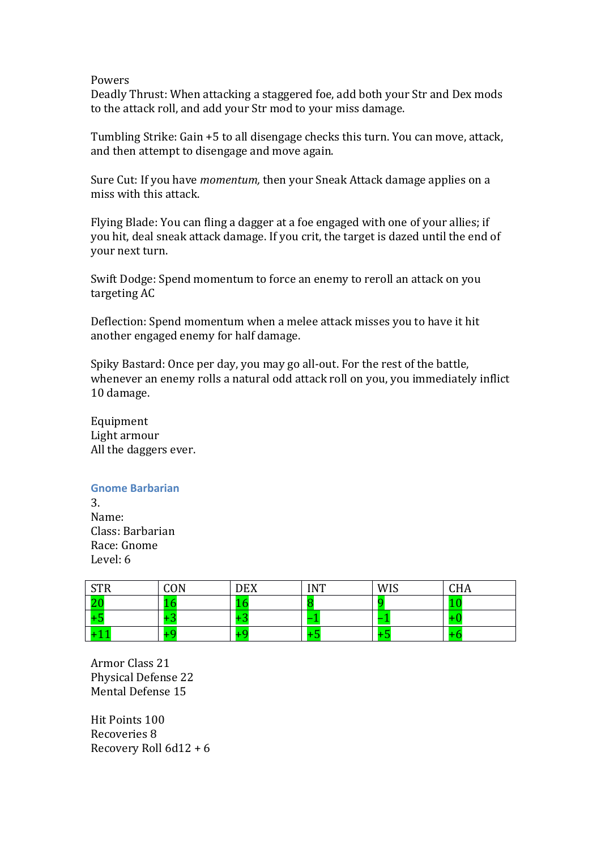#### Powers

Deadly Thrust: When attacking a staggered foe, add both your Str and Dex mods to the attack roll, and add your Str mod to your miss damage.

Tumbling Strike: Gain +5 to all disengage checks this turn. You can move, attack, and then attempt to disengage and move again.

Sure Cut: If you have *momentum,* then your Sneak Attack damage applies on a miss with this attack.

Flying Blade: You can fling a dagger at a foe engaged with one of your allies; if you hit, deal sneak attack damage. If you crit, the target is dazed until the end of your next turn.

Swift Dodge: Spend momentum to force an enemy to reroll an attack on you targeting AC

Deflection: Spend momentum when a melee attack misses you to have it hit another engaged enemy for half damage.

Spiky Bastard: Once per day, you may go all-out. For the rest of the battle, whenever an enemy rolls a natural odd attack roll on you, you immediately inflict 10 damage.

Equipment Light armour All the daggers ever.

### **Gnome Barbarian**

3. Name: Class: Barbarian Race: Gnome Level: 6

| CTD | CON | <b>DEX</b> | <b>INT</b> | <b>WIS</b> | CHA |
|-----|-----|------------|------------|------------|-----|
| ∠∪  |     | -          |            |            |     |
| ن ا |     | . .        | -          | -          |     |
| . . |     | ┻          |            |            |     |

Armor Class 21 Physical Defense 22 Mental Defense 15

Hit Points 100 Recoveries 8 Recovery Roll 6d12 + 6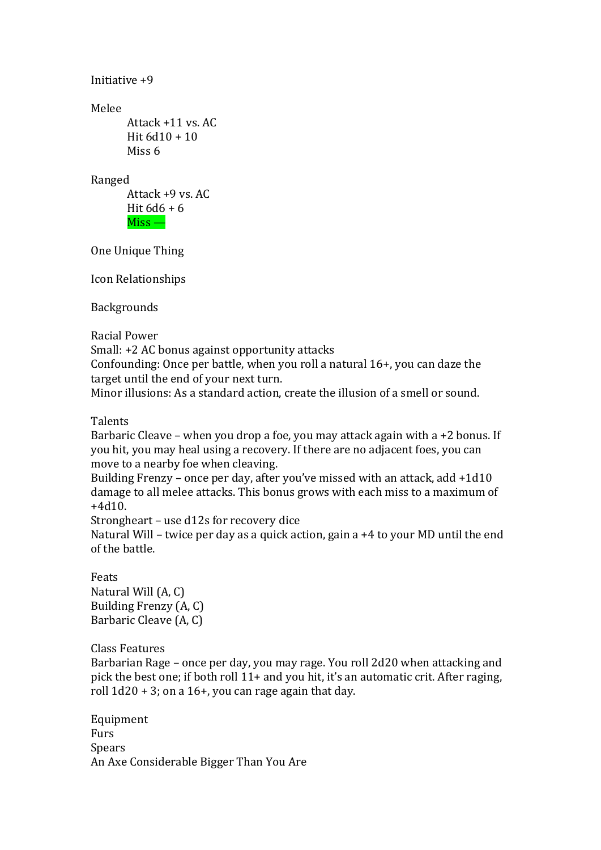```
Initiative +9
Melee 
      Attack +11 vs. AC
      Hit 6d10 + 10Miss 6
Ranged
      Attack +9 vs. AC
      Hit 6d6 + 6Miss —
```
One Unique Thing

Icon Relationships

Backgrounds

Racial Power

Small: +2 AC bonus against opportunity attacks

Confounding: Once per battle, when you roll a natural 16+, you can daze the target until the end of your next turn.

Minor illusions: As a standard action, create the illusion of a smell or sound.

Talents

Barbaric Cleave – when you drop a foe, you may attack again with a +2 bonus. If you hit, you may heal using a recovery. If there are no adjacent foes, you can move to a nearby foe when cleaving.

Building Frenzy – once per day, after you've missed with an attack, add +1d10 damage to all melee attacks. This bonus grows with each miss to a maximum of +4d10.

Strongheart – use d12s for recovery dice

Natural Will – twice per day as a quick action, gain a +4 to your MD until the end of the battle.

Feats Natural Will (A, C) Building Frenzy (A, C) Barbaric Cleave (A, C)

Class Features

Barbarian Rage – once per day, you may rage. You roll 2d20 when attacking and pick the best one; if both roll 11+ and you hit, it's an automatic crit. After raging, roll  $1d20 + 3$ ; on a  $16+$ , you can rage again that day.

Equipment Furs **Spears** An Axe Considerable Bigger Than You Are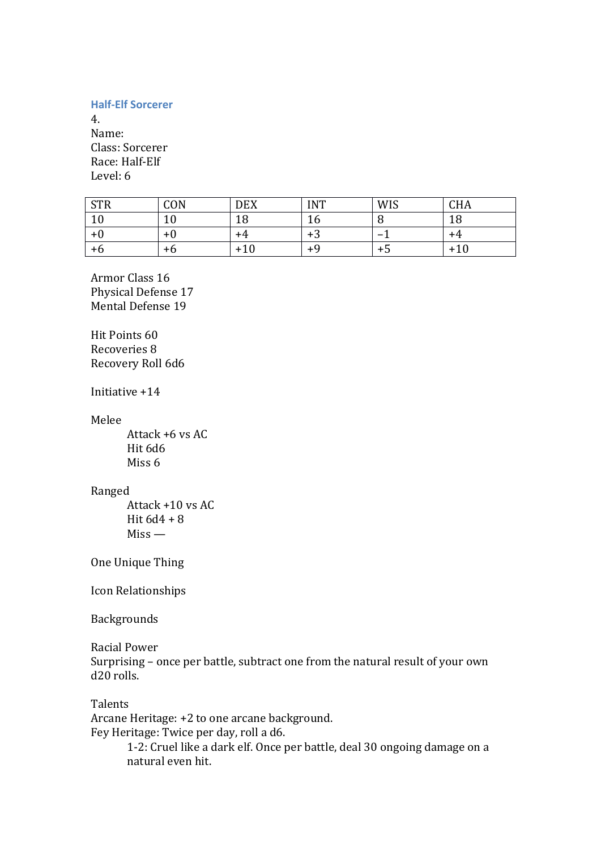### **Half-Elf Sorcerer**

4. Name: Class: Sorcerer Race: Half-Elf Level: 6

| <b>STR</b> | CON       | <b>DEX</b> | <b>INT</b> | <b>WIS</b> | CHA |
|------------|-----------|------------|------------|------------|-----|
| 10         | 1 ሰ<br>⊥∪ | 1 O<br>TΟ  | 10         |            | 18  |
| +v         | $+0$      | +4         | د+         |            | ÷д  |
| +b         | +6        | $+10$      | ⊥ч         | т.)        | +10 |

Armor Class 16 Physical Defense 17 Mental Defense 19

Hit Points 60 Recoveries 8 Recovery Roll 6d6

Initiative +14

Melee

Attack +6 vs AC Hit 6d6 Miss 6

### Ranged

Attack +10 vs AC Hit 6d4 + 8 Miss —

One Unique Thing

Icon Relationships

Backgrounds

Racial Power

Surprising – once per battle, subtract one from the natural result of your own d20 rolls.

Talents

Arcane Heritage: +2 to one arcane background.

Fey Heritage: Twice per day, roll a d6.

1-2: Cruel like a dark elf. Once per battle, deal 30 ongoing damage on a natural even hit.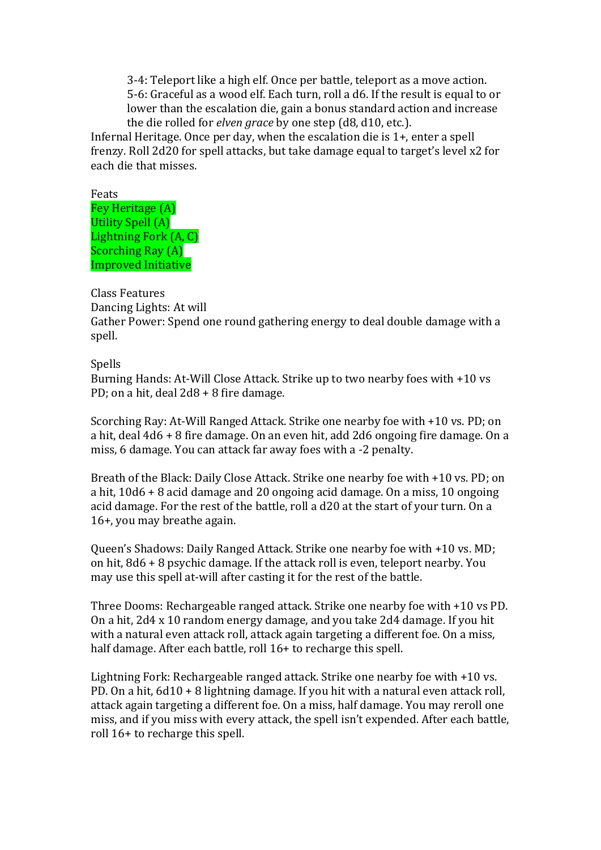3-4: Teleport like a high elf. Once per battle, teleport as a move action. 5-6: Graceful as a wood elf. Each turn, roll a d6. If the result is equal to or lower than the escalation die, gain a bonus standard action and increase the die rolled for *elven grace* by one step (d8, d10, etc.).

Infernal Heritage. Once per day, when the escalation die is 1+, enter a spell frenzy. Roll 2d20 for spell attacks, but take damage equal to target's level x2 for each die that misses.

Feats Fey Heritage (A) Utility Spell (A) Lightning Fork (A, C) Scorching Ray (A) Improved Initiative

Class Features

Dancing Lights: At will

Gather Power: Spend one round gathering energy to deal double damage with a spell.

# Spells

Burning Hands: At-Will Close Attack. Strike up to two nearby foes with +10 vs PD; on a hit, deal 2d8 + 8 fire damage.

Scorching Ray: At-Will Ranged Attack. Strike one nearby foe with +10 vs. PD; on a hit, deal 4d6 + 8 fire damage. On an even hit, add 2d6 ongoing fire damage. On a miss, 6 damage. You can attack far away foes with a -2 penalty.

Breath of the Black: Daily Close Attack. Strike one nearby foe with +10 vs. PD; on a hit, 10d6 + 8 acid damage and 20 ongoing acid damage. On a miss, 10 ongoing acid damage. For the rest of the battle, roll a d20 at the start of your turn. On a 16+, you may breathe again.

Queen's Shadows: Daily Ranged Attack. Strike one nearby foe with +10 vs. MD; on hit, 8d6 + 8 psychic damage. If the attack roll is even, teleport nearby. You may use this spell at-will after casting it for the rest of the battle.

Three Dooms: Rechargeable ranged attack. Strike one nearby foe with +10 vs PD. On a hit, 2d4 x 10 random energy damage, and you take 2d4 damage. If you hit with a natural even attack roll, attack again targeting a different foe. On a miss, half damage. After each battle, roll 16+ to recharge this spell.

Lightning Fork: Rechargeable ranged attack. Strike one nearby foe with +10 vs. PD. On a hit, 6d10 + 8 lightning damage. If you hit with a natural even attack roll, attack again targeting a different foe. On a miss, half damage. You may reroll one miss, and if you miss with every attack, the spell isn't expended. After each battle, roll 16+ to recharge this spell.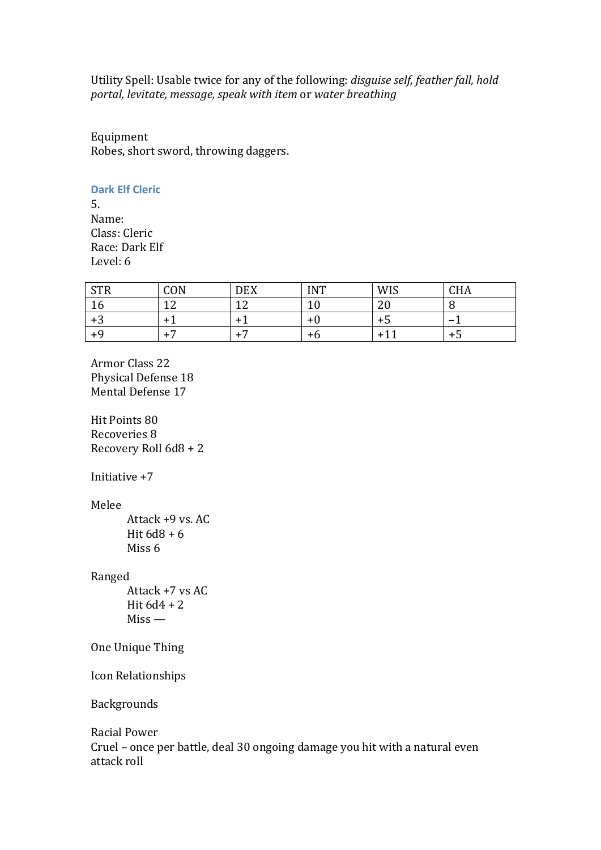Utility Spell: Usable twice for any of the following: *disguise self, feather fall, hold portal, levitate, message, speak with item* or *water breathing*

Equipment Robes, short sword, throwing daggers.

#### **Dark Elf Cleric**

5. Name: Class: Cleric Race: Dark Elf Level: 6

| CTD<br>51K | CON           | <b>DEX</b> | <b>INT</b> | <b>WIS</b> | <b>CHA</b> |
|------------|---------------|------------|------------|------------|------------|
| 10         | $\sim$<br>- - | $\sim$     | τn         | ⌒<br>∠∪    | ι.         |
| r<br>⊤ა    | $+$ .         |            | +0         | כ ד        |            |
|            | -<br>+        |            | +b         | $+1$       | + נ        |

Armor Class 22 Physical Defense 18 Mental Defense 17

Hit Points 80 Recoveries 8 Recovery Roll 6d8 + 2

Initiative +7

Melee

Attack +9 vs. AC Hit  $6d8 + 6$ Miss 6

Ranged

Attack +7 vs AC Hit  $6d4 + 2$ Miss —

One Unique Thing

Icon Relationships

Backgrounds

Racial Power Cruel – once per battle, deal 30 ongoing damage you hit with a natural even attack roll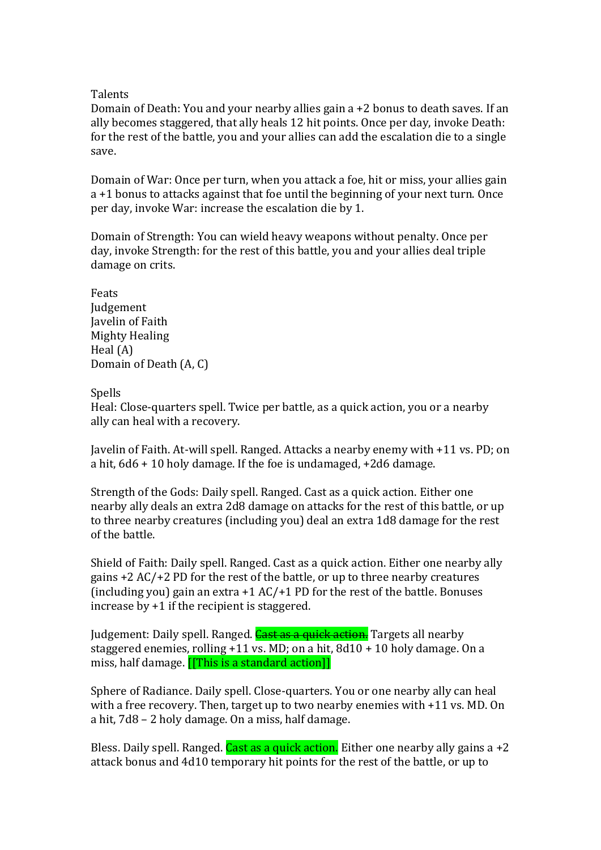# **Talents**

Domain of Death: You and your nearby allies gain a +2 bonus to death saves. If an ally becomes staggered, that ally heals 12 hit points. Once per day, invoke Death: for the rest of the battle, you and your allies can add the escalation die to a single save.

Domain of War: Once per turn, when you attack a foe, hit or miss, your allies gain a +1 bonus to attacks against that foe until the beginning of your next turn. Once per day, invoke War: increase the escalation die by 1.

Domain of Strength: You can wield heavy weapons without penalty. Once per day, invoke Strength: for the rest of this battle, you and your allies deal triple damage on crits.

Feats Judgement Javelin of Faith Mighty Healing Heal (A) Domain of Death (A, C)

Spells

Heal: Close-quarters spell. Twice per battle, as a quick action, you or a nearby ally can heal with a recovery.

Javelin of Faith. At-will spell. Ranged. Attacks a nearby enemy with +11 vs. PD; on a hit, 6d6 + 10 holy damage. If the foe is undamaged, +2d6 damage.

Strength of the Gods: Daily spell. Ranged. Cast as a quick action. Either one nearby ally deals an extra 2d8 damage on attacks for the rest of this battle, or up to three nearby creatures (including you) deal an extra 1d8 damage for the rest of the battle.

Shield of Faith: Daily spell. Ranged. Cast as a quick action. Either one nearby ally gains +2 AC/+2 PD for the rest of the battle, or up to three nearby creatures (including you) gain an extra +1 AC/+1 PD for the rest of the battle. Bonuses increase by +1 if the recipient is staggered.

Judgement: Daily spell. Ranged. Cast as a quick action. Targets all nearby staggered enemies, rolling +11 vs. MD; on a hit, 8d10 + 10 holy damage. On a miss, half damage. [[This is a standard action]]

Sphere of Radiance. Daily spell. Close-quarters. You or one nearby ally can heal with a free recovery. Then, target up to two nearby enemies with +11 vs. MD. On a hit, 7d8 – 2 holy damage. On a miss, half damage.

Bless. Daily spell. Ranged. Cast as a quick action. Either one nearby ally gains a  $+2$ attack bonus and 4d10 temporary hit points for the rest of the battle, or up to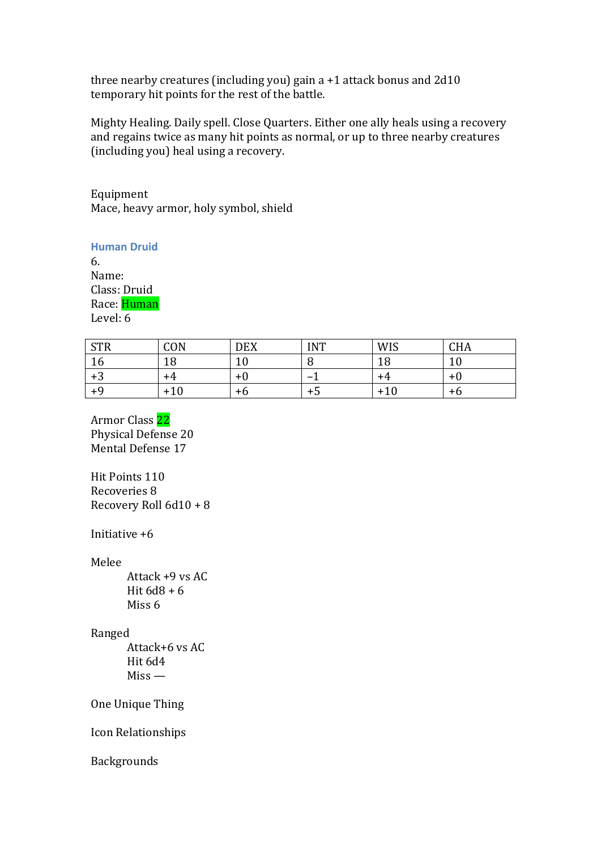three nearby creatures (including you) gain a +1 attack bonus and 2d10 temporary hit points for the rest of the battle.

Mighty Healing. Daily spell. Close Quarters. Either one ally heals using a recovery and regains twice as many hit points as normal, or up to three nearby creatures (including you) heal using a recovery.

Equipment Mace, heavy armor, holy symbol, shield

**Human Druid**

6. Name: Class: Druid Race: Human Level: 6

| C <sub>TD</sub><br>51K | CON   | <b>DEX</b> | <b>INT</b>               | <b>WIS</b> | <b>CHA</b> |
|------------------------|-------|------------|--------------------------|------------|------------|
| 10                     | 1 O   | 10         | .,                       | ⊥∪         | ⊥∪         |
| r<br>+ა                | +4    | $+0$       | $\overline{\phantom{0}}$ | +4         | +0         |
| $+9$                   | $+10$ | +6         | +5                       | +10        | +6         |

Armor Class 22 Physical Defense 20 Mental Defense 17

Hit Points 110 Recoveries 8 Recovery Roll 6d10 + 8

Initiative +6

Melee

Attack +9 vs AC Hit 6d8 + 6 Miss 6

# Ranged

Attack+6 vs AC Hit 6d4 Miss —

One Unique Thing

Icon Relationships

Backgrounds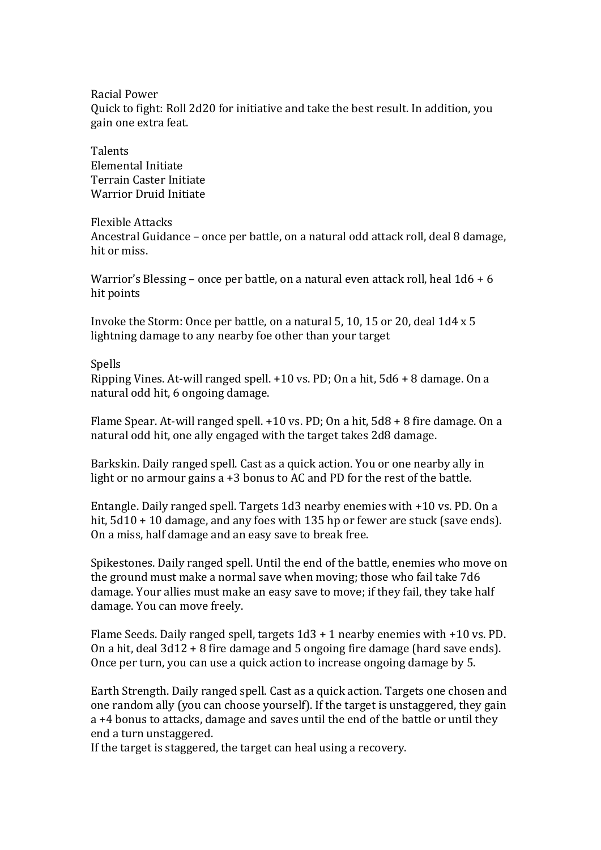Racial Power Quick to fight: Roll 2d20 for initiative and take the best result. In addition, you gain one extra feat.

**Talents** Elemental Initiate Terrain Caster Initiate Warrior Druid Initiate

#### Flexible Attacks

Ancestral Guidance – once per battle, on a natural odd attack roll, deal 8 damage, hit or miss.

Warrior's Blessing – once per battle, on a natural even attack roll, heal 1d6 + 6 hit points

Invoke the Storm: Once per battle, on a natural 5, 10, 15 or 20, deal 1d4 x 5 lightning damage to any nearby foe other than your target

#### Spells

Ripping Vines. At-will ranged spell. +10 vs. PD; On a hit, 5d6 + 8 damage. On a natural odd hit, 6 ongoing damage.

Flame Spear. At-will ranged spell. +10 vs. PD; On a hit, 5d8 + 8 fire damage. On a natural odd hit, one ally engaged with the target takes 2d8 damage.

Barkskin. Daily ranged spell. Cast as a quick action. You or one nearby ally in light or no armour gains a +3 bonus to AC and PD for the rest of the battle.

Entangle. Daily ranged spell. Targets 1d3 nearby enemies with +10 vs. PD. On a hit, 5d10 + 10 damage, and any foes with 135 hp or fewer are stuck (save ends). On a miss, half damage and an easy save to break free.

Spikestones. Daily ranged spell. Until the end of the battle, enemies who move on the ground must make a normal save when moving; those who fail take 7d6 damage. Your allies must make an easy save to move; if they fail, they take half damage. You can move freely.

Flame Seeds. Daily ranged spell, targets 1d3 + 1 nearby enemies with +10 vs. PD. On a hit, deal 3d12 + 8 fire damage and 5 ongoing fire damage (hard save ends). Once per turn, you can use a quick action to increase ongoing damage by 5.

Earth Strength. Daily ranged spell. Cast as a quick action. Targets one chosen and one random ally (you can choose yourself). If the target is unstaggered, they gain a +4 bonus to attacks, damage and saves until the end of the battle or until they end a turn unstaggered.

If the target is staggered, the target can heal using a recovery.